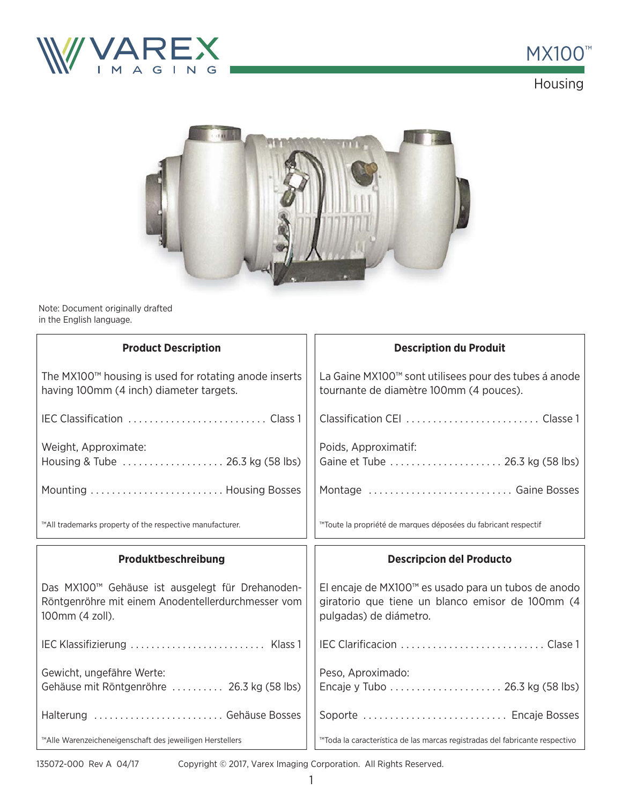



Housing



Note: Document originally drafted in the English language.

| <b>Product Description</b>                                                                                                | <b>Description du Produit</b>                                                                                                     |
|---------------------------------------------------------------------------------------------------------------------------|-----------------------------------------------------------------------------------------------------------------------------------|
| The MX100 <sup>™</sup> housing is used for rotating anode inserts<br>having 100mm (4 inch) diameter targets.              | La Gaine MX100™ sont utilisees pour des tubes á anode<br>tournante de diamètre 100mm (4 pouces).                                  |
|                                                                                                                           |                                                                                                                                   |
| Weight, Approximate:<br>Housing & Tube  26.3 kg (58 lbs)                                                                  | Poids, Approximatif:<br>Gaine et Tube  26.3 kg (58 lbs)                                                                           |
| Mounting  Housing Bosses                                                                                                  | Montage  Gaine Bosses                                                                                                             |
| ™All trademarks property of the respective manufacturer.                                                                  | ™Toute la propriété de marques déposées du fabricant respectif                                                                    |
|                                                                                                                           |                                                                                                                                   |
| Produktbeschreibung                                                                                                       | <b>Descripcion del Producto</b>                                                                                                   |
| Das MX100™ Gehäuse ist ausgelegt für Drehanoden-<br>Röntgenröhre mit einem Anodentellerdurchmesser vom<br>100mm (4 zoll). | El encaje de MX100™ es usado para un tubos de anodo<br>giratorio que tiene un blanco emisor de 100mm (4<br>pulgadas) de diámetro. |
| IEC Klassifizierung  Klass 1                                                                                              |                                                                                                                                   |
| Gewicht, ungefähre Werte:<br>Gehäuse mit Röntgenröhre  26.3 kg (58 lbs)                                                   | Peso, Aproximado:                                                                                                                 |
| Halterung  Gehäuse Bosses                                                                                                 | Soporte  Encaje Bosses                                                                                                            |

135072-000 Rev A 04/17

Copyright © 2017, Varex Imaging Corporation. All Rights Reserved.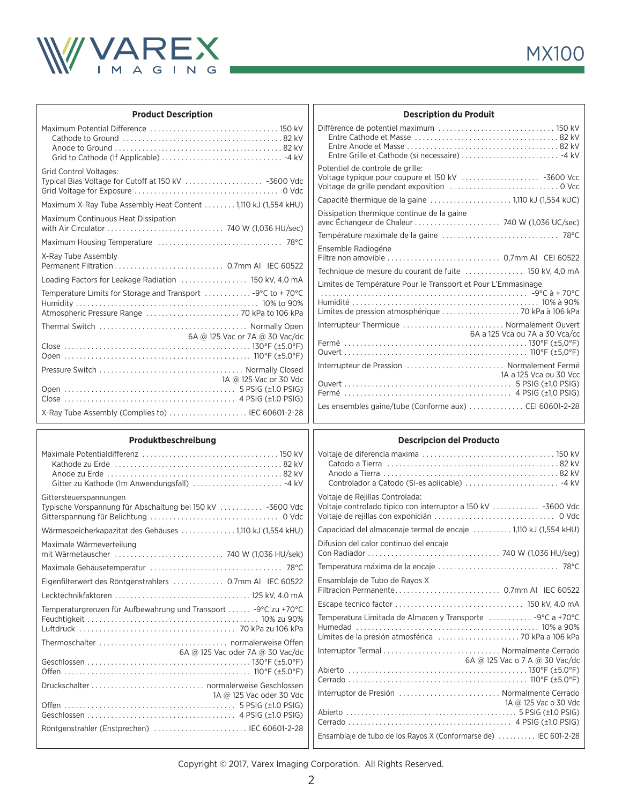

| <b>Product Description</b>                                     |                        |
|----------------------------------------------------------------|------------------------|
|                                                                | Diff                   |
| <b>Grid Control Voltages:</b>                                  | Pot<br>Volt<br>Volt    |
| Maximum X-Ray Tube Assembly Heat Content  1,110 kJ (1,554 kHU) | Car                    |
| Maximum Continuous Heat Dissipation                            | Dis:<br>ave<br>Ten     |
|                                                                | Ens                    |
| X-Ray Tube Assembly                                            | Filti<br><b>Tec</b>    |
| Loading Factors for Leakage Radiation  150 kV, 4.0 mA          | Lim                    |
| Temperature Limits for Storage and Transport  -9°C to +70°C    | $\cdots$<br>Hur<br>Lim |
|                                                                | Inte                   |
| 6A @ 125 Vac or 7A @ 30 Vac/dc                                 | Fer<br>Ou              |
| 1A @ 125 Vac or 30 Vdc                                         | Inte<br>Ou<br>Fer      |
| X-Ray Tube Assembly (Complies to)  IEC 60601-2-28              | Les                    |

| <b>Description du Produit</b>                                                                                        |                                |
|----------------------------------------------------------------------------------------------------------------------|--------------------------------|
| Entre Grille et Cathode (sí necessaire)  -4 kV                                                                       |                                |
| Potentiel de controle de grille:<br>Voltage typique pour coupure et 150 kV  -3600 Vcc                                |                                |
| Capacité thermique de la gaine 1,110 kJ (1,554 kUC)                                                                  |                                |
| Dissipation thermique continue de la gaine                                                                           |                                |
|                                                                                                                      |                                |
| Ensemble Radiogéne                                                                                                   |                                |
| Technique de mesure du courant de fuite  150 kV, 4,0 mA                                                              |                                |
| Limites de Température Pour le Transport et Pour L'Emmasinage<br>Limites de pression atmosphérique  70 kPa à 106 kPa |                                |
| Interrupteur Thermique  Normalement Ouvert                                                                           | 6A a 125 Vca ou 7A a 30 Vca/cc |
| Interrupteur de Pression  Normalement Fermé                                                                          | 1A a 125 Vca ou 30 Vcc         |
| Les ensembles gaine/tube (Conforme aux) CEI 60601-2-28                                                               |                                |
|                                                                                                                      |                                |

## **Produktbeschreibung**

| <b>Descripcion del Producto</b>                                                                                                          |
|------------------------------------------------------------------------------------------------------------------------------------------|
| Catodo a Tierra (all contracts) and a series and the catodo a Tierra (all contracts) and the catology of the c                           |
| Voltaje de Rejillas Controlada:<br>Voltaje controlado tipico con interruptor a 150 kV  -3600 Vdc                                         |
| Capacidad del almacenaje termal de encaje  1,110 kJ (1,554 kHU)                                                                          |
| Difusion del calor continuo del encaje                                                                                                   |
|                                                                                                                                          |
| Ensamblaje de Tubo de Rayos X                                                                                                            |
| Temperatura Limitada de Almacen y Transporte  -9°C a +70°C                                                                               |
|                                                                                                                                          |
| 6A @ 125 Vac o 7 A @ 30 Vac/dc                                                                                                           |
| Interruptor de Presión  Normalmente Cerrado<br>1A @ 125 Vac o 30 Vdc<br>Ensamblaje de tubo de los Rayos X (Conformarse de)  IEC 601-2-28 |
|                                                                                                                                          |

Copyright © 2017, Varex Imaging Corporation. All Rights Reserved.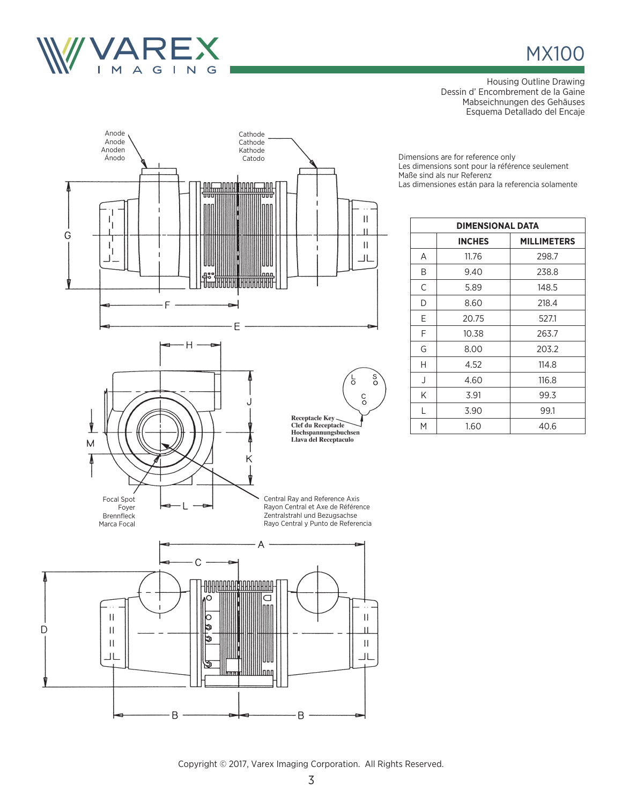

## **MX100**

Housing Outline Drawing Dessin d' Encombrement de la Gaine Mabseichnungen des Gehäuses Esquema Detallado del Encaje

Dimensions are for reference only Les dimensions sont pour la référence seulement Maße sind als nur Referenz Las dimensiones están para la referencia solamente

| <b>DIMENSIONAL DATA</b> |                                     |       |  |  |
|-------------------------|-------------------------------------|-------|--|--|
|                         | <b>INCHES</b><br><b>MILLIMETERS</b> |       |  |  |
| A                       | 11.76                               | 298.7 |  |  |
| B                       | 9.40                                | 238.8 |  |  |
| C                       | 5.89                                | 148.5 |  |  |
| D                       | 8.60                                | 218.4 |  |  |
| Е                       | 20.75                               | 527.1 |  |  |
| F                       | 10.38                               | 263.7 |  |  |
| G                       | 8.00                                | 203.2 |  |  |
| Н                       | 4.52                                | 114.8 |  |  |
| J                       | 4.60                                | 116.8 |  |  |
| K                       | 3.91                                | 99.3  |  |  |
| L                       | 3.90                                | 99.1  |  |  |
| M                       | 1.60                                | 40.6  |  |  |



ত্ত

B.

Innn

B

Copyright © 2017, Varex Imaging Corporation. All Rights Reserved.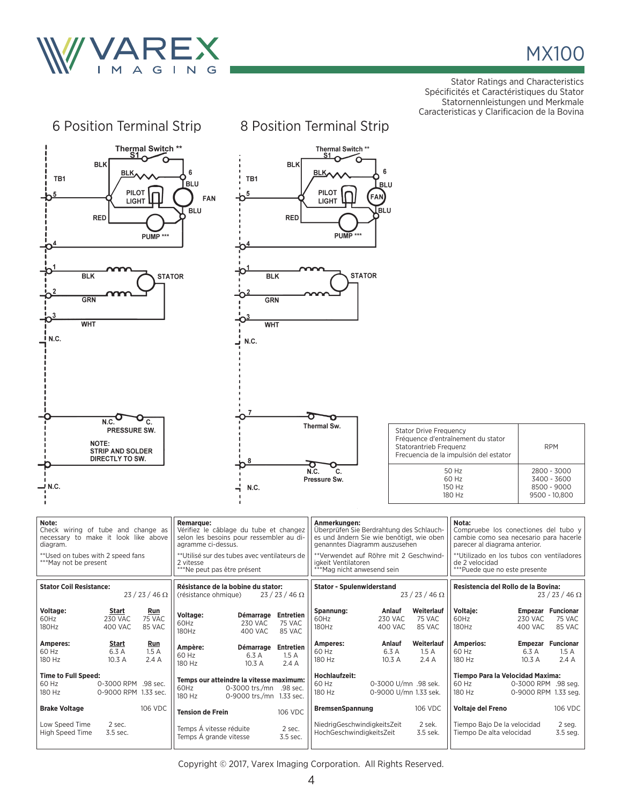

Stator Ratings and Characteristics Spécificités et Caractéristiques du Stator Statornennleistungen und Merkmale Caracteristicas y Clarificacion de la Bovina

| 6 Position Terminal Strip                                                                                                                                      |                                                                                                                                                                                                                          | 8 Position Terminal Strip                                                                                                                                                                                                            |                                                                                                                                                                                                                          |  |
|----------------------------------------------------------------------------------------------------------------------------------------------------------------|--------------------------------------------------------------------------------------------------------------------------------------------------------------------------------------------------------------------------|--------------------------------------------------------------------------------------------------------------------------------------------------------------------------------------------------------------------------------------|--------------------------------------------------------------------------------------------------------------------------------------------------------------------------------------------------------------------------|--|
| <b>Thermal Switch **</b><br>S1<br><b>BLK</b><br>BLK,<br>TB1<br><b>PILOT</b><br><b>LIGHT</b><br><b>RED</b><br>PUMP ***                                          | Thermal Switch **<br>S1<br><b>BLK</b><br>6<br><b>BLK</b><br>6<br>TB1<br><b>BLU</b><br><b>BLU</b><br>PILOT<br>5<br><b>FAN</b><br>FAN<br><b>LIGHT</b><br>lblu<br><b>BLU</b><br><b>RED</b><br>PUMP ***                      |                                                                                                                                                                                                                                      |                                                                                                                                                                                                                          |  |
| <b>STATOR</b><br><b>BLK</b><br><b>STATOR</b><br>BLK<br>GRN<br>GRN<br>O <sup>3</sup><br><b>WHT</b><br><b>WHT</b><br><u>I</u> N.C.<br>N.C.                       |                                                                                                                                                                                                                          |                                                                                                                                                                                                                                      |                                                                                                                                                                                                                          |  |
| N.C.<br>C.<br>PRESSURE SW.<br>NOTE:<br><b>STRIP AND SOLDER</b><br>DIRECTLY TO SW.<br>.N.C —                                                                    | $\overline{7}$<br>8<br>N.C.                                                                                                                                                                                              | Thermal Sw.<br><b>Stator Drive Frequency</b><br>Statorantrieb Frequenz<br>σ<br>N.C.<br>C.<br>Pressure Sw.                                                                                                                            | Fréquence d'entraînement du stator<br><b>RPM</b><br>Frecuencia de la impulsión del estator<br>50 Hz<br>2800 - 3000<br>60 Hz<br>3400 - 3600<br>150 Hz<br>8500 - 9000<br>180 Hz<br>9500 - 10,800                           |  |
| Note:<br>Check wiring of tube and change as<br>necessary to make it look like above<br>diagram.<br>** Used on tubes with 2 speed fans<br>***May not be present | <b>Remarque:</b><br>Vérifiez le câblage du tube et changez<br>selon les besoins pour ressembler au di-<br>agramme ci-dessus.<br>**Utilisé sur des tubes avec ventilateurs de<br>2 vitesse<br>***Ne peut pas être présent | Anmerkungen:<br>Überprüfen Sie Berdrahtung des Schlauch-<br>es und ändern Sie wie benötigt, wie oben<br>genanntes Diagramm auszusehen<br>**Verwendet auf Röhre mit 2 Geschwind-<br>igkeit Ventilatoren<br>***Mag nicht anwesend sein | Nota:<br>Compruebe los conectiones del tubo y<br>cambie como sea necesario para hacerle<br>parecer al diagrama anterior.<br>**Utilizado en los tubos con ventiladores<br>de 2 velocidad<br>***Puede que no este presente |  |
| <b>Stator Coil Resistance:</b><br>$23/23/46 \Omega$                                                                                                            | Résistance de la bobine du stator:<br>$23/23/46 \Omega$<br>(résistance ohmique)                                                                                                                                          | <b>Stator - Spulenwiderstand</b><br>$23/23/46 \Omega$                                                                                                                                                                                | Resistencia del Rollo de la Bovina:<br>$23/23/46 \Omega$                                                                                                                                                                 |  |
| Voltage:<br>Start<br>Run<br>60Hz<br><b>230 VAC</b><br>75 VAC<br>180Hz<br><b>400 VAC</b><br>85 VAC                                                              | Démarrage Entretien<br><b>Voltage:</b><br>60Hz<br><b>230 VAC</b><br>75 VAC<br>180Hz<br><b>400 VAC</b><br>85 VAC                                                                                                          | Spannung:<br>Weiterlauf<br>Anlauf<br>60Hz<br><b>230 VAC</b><br>75 VAC<br>180Hz<br>400 VAC<br>85 VAC                                                                                                                                  | Voltaje:<br><b>Empezar Funcionar</b><br>60Hz<br>230 VAC<br>75 VAC<br>180Hz<br>400 VAC<br>85 VAC                                                                                                                          |  |
| Amperes:<br><b>Run</b><br><b>Start</b><br>6.3 A<br>60 Hz<br>1.5A<br>180 Hz<br>10.3 A<br>2.4 A                                                                  | Ampère:<br>Démarrage Entretien<br>60 Hz<br>6.3 A<br>1.5A<br>180 Hz<br>10.3 A<br>2.4A                                                                                                                                     | Anlauf<br>Weiterlauf<br>Amperes:<br>60 Hz<br>6.3 A<br>1.5A<br>180 Hz<br>10.3 A<br>2.4 A                                                                                                                                              | <b>Amperios:</b><br><b>Empezar Funcionar</b><br>60 Hz<br>6.3 A<br>1.5A<br>10.3 A<br>180 Hz<br>2.4 A                                                                                                                      |  |
| <b>Time to Full Speed:</b><br>60 Hz<br>0-3000 RPM .98 sec.<br>180 Hz<br>0-9000 RPM 1.33 sec.                                                                   | Temps our atteindre la vitesse maximum:<br>0-3000 trs./mn .98 sec.<br>60Hz<br>180 Hz<br>0-9000 trs./mn 1.33 sec.                                                                                                         | Hochlaufzeit:<br>60 Hz<br>0-3000 U/mn .98 sek.<br>180 Hz<br>0-9000 U/mn 1.33 sek.                                                                                                                                                    | Tiempo Para la Velocidad Maxima:<br>60 Hz<br>0-3000 RPM .98 seg.<br>180 Hz<br>0-9000 RPM 1.33 seg.                                                                                                                       |  |
| 106 VDC<br><b>Brake Voltage</b>                                                                                                                                | 106 VDC<br><b>Tension de Frein</b>                                                                                                                                                                                       | <b>BremsenSpannung</b><br>106 VDC                                                                                                                                                                                                    | Voltaje del Freno<br>106 VDC                                                                                                                                                                                             |  |
| Low Speed Time<br>2 sec.<br>High Speed Time<br>3.5 sec.                                                                                                        | Temps À vitesse réduite<br>2 sec.<br>Temps Á grande vitesse<br>3.5 sec.                                                                                                                                                  | 2 sek.<br>NiedrigGeschwindigkeitsZeit<br>HochGeschwindigkeitsZeit<br>3.5 sek.                                                                                                                                                        | Tiempo Bajo De la velocidad<br>2 seg.<br>Tiempo De alta velocidad<br>3.5 seg.                                                                                                                                            |  |

Copyright © 2017, Varex Imaging Corporation. All Rights Reserved.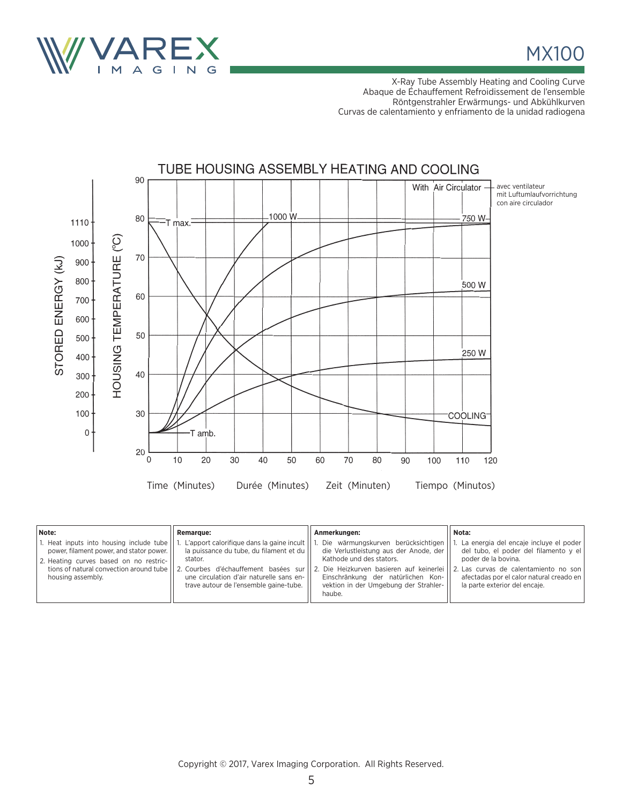

MX100

X-Ray Tube Assembly Heating and Cooling Curve Abaque de Échauffement Refroidissement de l'ensemble Röntgenstrahler Erwärmungs- und Abkühlkurven Curvas de calentamiento y enfriamento de la unidad radiogena



| Note:                                                                                                                                                                                            | <b>Remarque:</b>                                                                                                                                                                              | Anmerkungen:                                                                                                                                                                                                                                                                              | Nota:                                                                                                                                                                                                                             |
|--------------------------------------------------------------------------------------------------------------------------------------------------------------------------------------------------|-----------------------------------------------------------------------------------------------------------------------------------------------------------------------------------------------|-------------------------------------------------------------------------------------------------------------------------------------------------------------------------------------------------------------------------------------------------------------------------------------------|-----------------------------------------------------------------------------------------------------------------------------------------------------------------------------------------------------------------------------------|
| 1. Heat inputs into housing include tube<br>power, filament power, and stator power.<br>2. Heating curves based on no restric-<br>tions of natural convection around tube  <br>housing assembly. | L'apport calorifique dans la gaine incult    1<br>la puissance du tube, du filament et du   <br>stator.<br>une circulation d'air naturelle sans en-<br>trave autour de l'ensemble gaine-tube. | Die wärmungskurven berücksichtigen<br>die Verlustleistung aus der Anode, der<br>Kathode und des stators.<br>  2. Courbes d'échauffement basées sur    2. Die Heizkurven basieren auf keinerlei  <br>Einschränkung der natürlichen Kon-<br>vektion in der Umgebung der Strahler-<br>haube. | 1. La energia del encaje incluye el poder  <br>del tubo, el poder del filamento y el<br>poder de la bovina.<br>2. Las curvas de calentamiento no son<br>afectadas por el calor natural creado en<br>la parte exterior del encaje. |